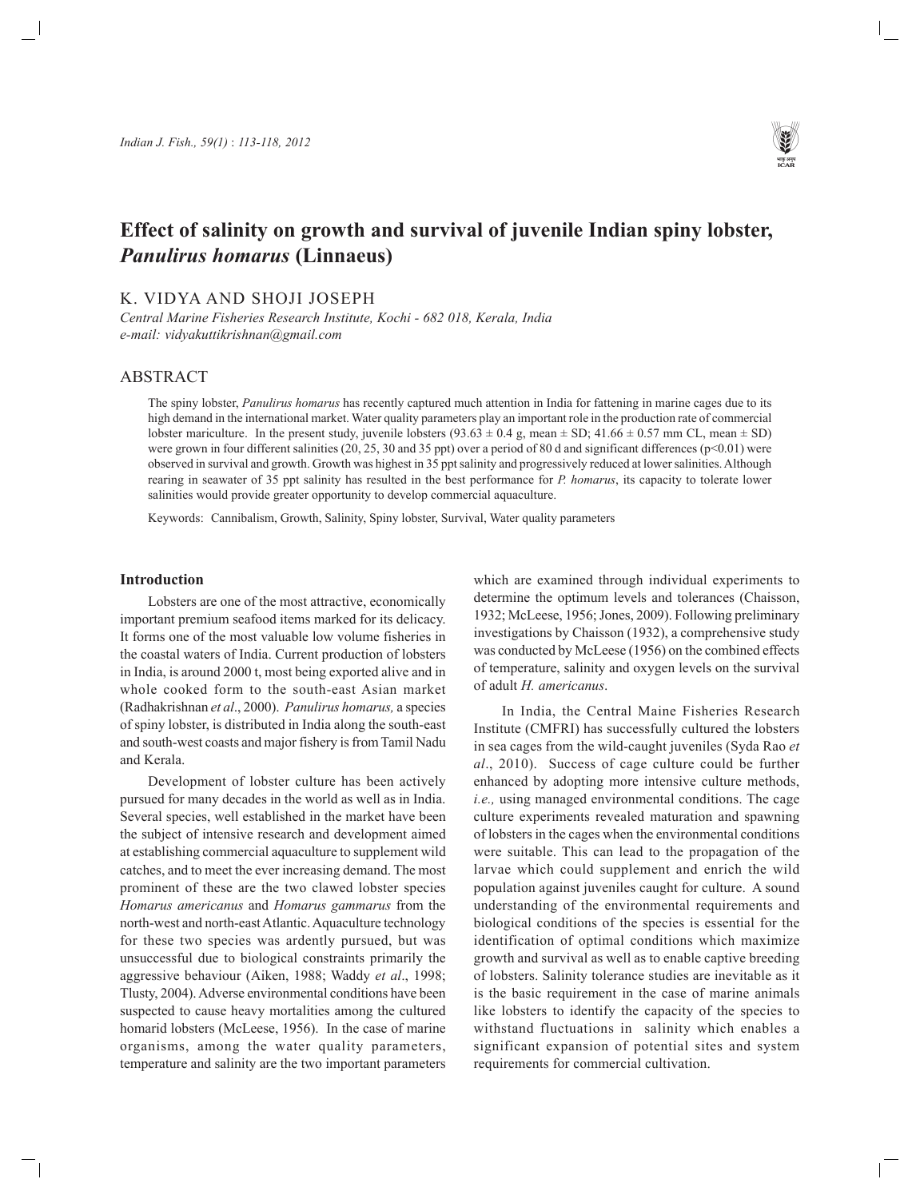

# **Effect of salinity on growth and survival of juvenile Indian spiny lobster,** *Panulirus homarus* **(Linnaeus)**

K. VIDYA AND SHOJI JOSEPH

*Central Marine Fisheries Research Institute, Kochi - 682 018, Kerala, India e-mail: vidyakuttikrishnan@gmail.com*

# ABSTRACT

The spiny lobster, *Panulirus homarus* has recently captured much attention in India for fattening in marine cages due to its high demand in the international market. Water quality parameters play an important role in the production rate of commercial lobster mariculture. In the present study, juvenile lobsters  $(93.63 \pm 0.4 \text{ g})$ , mean  $\pm$  SD; 41.66  $\pm$  0.57 mm CL, mean  $\pm$  SD) were grown in four different salinities (20, 25, 30 and 35 ppt) over a period of 80 d and significant differences ( $p$ <0.01) were observed in survival and growth. Growth was highest in 35 ppt salinity and progressively reduced at lower salinities. Although rearing in seawater of 35 ppt salinity has resulted in the best performance for *P. homarus*, its capacity to tolerate lower salinities would provide greater opportunity to develop commercial aquaculture.

Keywords: Cannibalism, Growth, Salinity, Spiny lobster, Survival, Water quality parameters

### **Introduction**

Lobsters are one of the most attractive, economically important premium seafood items marked for its delicacy. It forms one of the most valuable low volume fisheries in the coastal waters of India. Current production of lobsters in India, is around 2000 t, most being exported alive and in whole cooked form to the south-east Asian market (Radhakrishnan *et al*., 2000). *Panulirus homarus,* a species of spiny lobster, is distributed in India along the south-east and south-west coasts and major fishery is from Tamil Nadu and Kerala.

Development of lobster culture has been actively pursued for many decades in the world as well as in India. Several species, well established in the market have been the subject of intensive research and development aimed at establishing commercial aquaculture to supplement wild catches, and to meet the ever increasing demand. The most prominent of these are the two clawed lobster species *Homarus americanus* and *Homarus gammarus* from the north-west and north-east Atlantic. Aquaculture technology for these two species was ardently pursued, but was unsuccessful due to biological constraints primarily the aggressive behaviour (Aiken, 1988; Waddy *et al*., 1998; Tlusty, 2004). Adverse environmental conditions have been suspected to cause heavy mortalities among the cultured homarid lobsters (McLeese, 1956). In the case of marine organisms, among the water quality parameters, temperature and salinity are the two important parameters which are examined through individual experiments to determine the optimum levels and tolerances (Chaisson, 1932; McLeese, 1956; Jones, 2009). Following preliminary investigations by Chaisson (1932), a comprehensive study was conducted by McLeese (1956) on the combined effects of temperature, salinity and oxygen levels on the survival of adult *H. americanus*.

In India, the Central Maine Fisheries Research Institute (CMFRI) has successfully cultured the lobsters in sea cages from the wild-caught juveniles (Syda Rao *et al*., 2010). Success of cage culture could be further enhanced by adopting more intensive culture methods, *i.e.,* using managed environmental conditions. The cage culture experiments revealed maturation and spawning of lobsters in the cages when the environmental conditions were suitable. This can lead to the propagation of the larvae which could supplement and enrich the wild population against juveniles caught for culture. A sound understanding of the environmental requirements and biological conditions of the species is essential for the identification of optimal conditions which maximize growth and survival as well as to enable captive breeding of lobsters. Salinity tolerance studies are inevitable as it is the basic requirement in the case of marine animals like lobsters to identify the capacity of the species to withstand fluctuations in salinity which enables a significant expansion of potential sites and system requirements for commercial cultivation.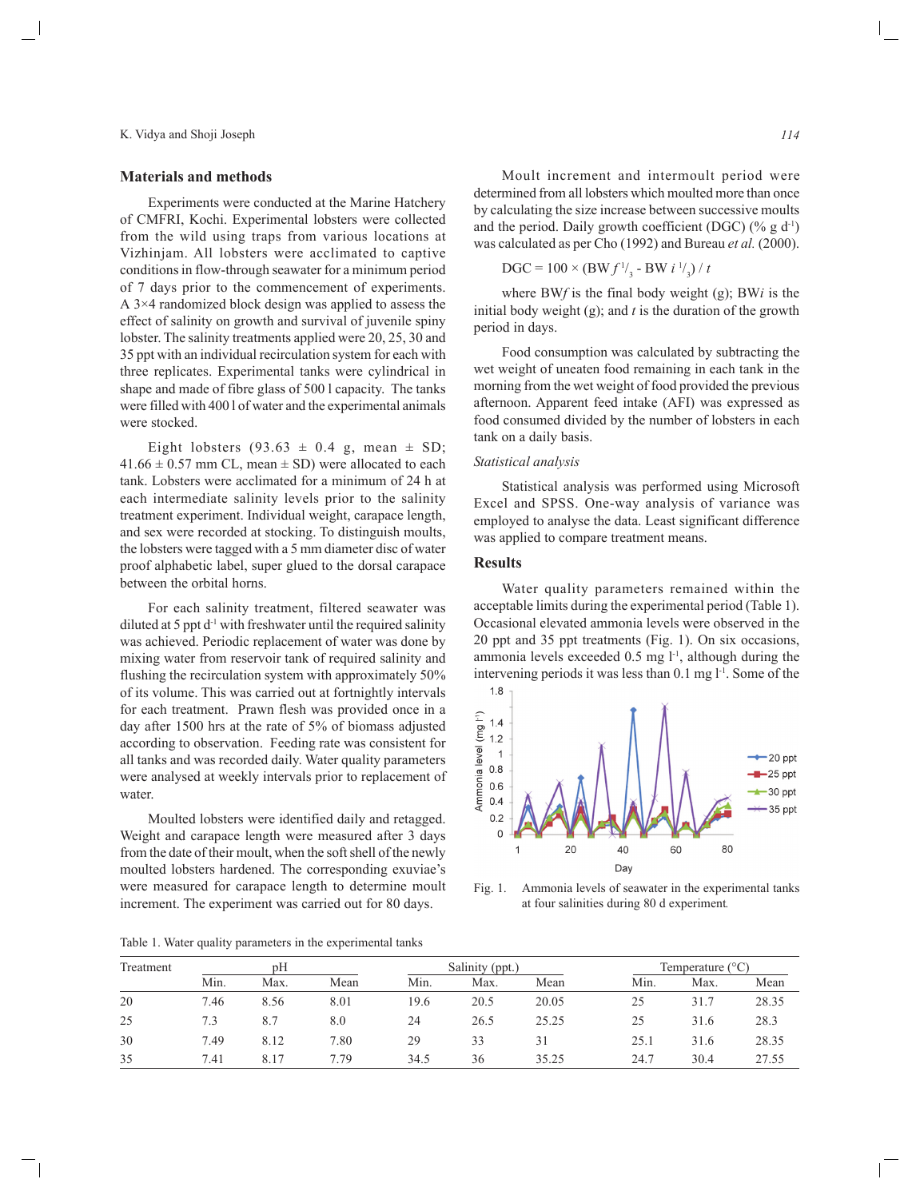#### **Materials and methods**

Experiments were conducted at the Marine Hatchery of CMFRI, Kochi. Experimental lobsters were collected from the wild using traps from various locations at Vizhinjam. All lobsters were acclimated to captive conditions in flow-through seawater for a minimum period of 7 days prior to the commencement of experiments. A 3×4 randomized block design was applied to assess the effect of salinity on growth and survival of juvenile spiny lobster. The salinity treatments applied were 20, 25, 30 and 35 ppt with an individual recirculation system for each with three replicates. Experimental tanks were cylindrical in shape and made of fibre glass of 500 l capacity. The tanks were filled with 400 l of water and the experimental animals were stocked.

Eight lobsters  $(93.63 \pm 0.4 \text{ g}$ , mean  $\pm$  SD;  $41.66 \pm 0.57$  mm CL, mean  $\pm$  SD) were allocated to each tank. Lobsters were acclimated for a minimum of 24 h at each intermediate salinity levels prior to the salinity treatment experiment. Individual weight, carapace length, and sex were recorded at stocking. To distinguish moults, the lobsters were tagged with a 5 mm diameter disc of water proof alphabetic label, super glued to the dorsal carapace between the orbital horns.

For each salinity treatment, filtered seawater was diluted at 5 ppt  $d^{-1}$  with freshwater until the required salinity was achieved. Periodic replacement of water was done by mixing water from reservoir tank of required salinity and flushing the recirculation system with approximately 50% of its volume. This was carried out at fortnightly intervals for each treatment. Prawn flesh was provided once in a day after 1500 hrs at the rate of 5% of biomass adjusted according to observation. Feeding rate was consistent for all tanks and was recorded daily. Water quality parameters were analysed at weekly intervals prior to replacement of water.

Moulted lobsters were identified daily and retagged. Weight and carapace length were measured after 3 days from the date of their moult, when the soft shell of the newly moulted lobsters hardened. The corresponding exuviae's were measured for carapace length to determine moult increment. The experiment was carried out for 80 days.

determined from all lobsters which moulted more than once by calculating the size increase between successive moults and the period. Daily growth coefficient (DGC) ( $\%$  g d<sup>-1</sup>) was calculated as per Cho (1992) and Bureau *et al.* (2000).

$$
DGC = 100 \times (BW f^{1/3} - BW i^{1/3}) / t
$$

where BW*f* is the final body weight (g); BW*i* is the initial body weight (g); and *t* is the duration of the growth period in days.

Food consumption was calculated by subtracting the wet weight of uneaten food remaining in each tank in the morning from the wet weight of food provided the previous afternoon. Apparent feed intake (AFI) was expressed as food consumed divided by the number of lobsters in each tank on a daily basis.

#### *Statistical analysis*

Statistical analysis was performed using Microsoft Excel and SPSS. One-way analysis of variance was employed to analyse the data. Least significant difference was applied to compare treatment means.

#### **Results**

Water quality parameters remained within the acceptable limits during the experimental period (Table 1). Occasional elevated ammonia levels were observed in the 20 ppt and 35 ppt treatments (Fig. 1). On six occasions, ammonia levels exceeded  $0.5$  mg  $l^{-1}$ , although during the intervening periods it was less than  $0.1$  mg  $1<sup>-1</sup>$ . Some of the



Fig. 1. Ammonia levels of seawater in the experimental tanks at four salinities during 80 d experiment*.*

Table 1. Water quality parameters in the experimental tanks

| Treatment | pΗ   |       |      | Salinity (ppt.) |      |       | Temperature $(^{\circ}C)$ |      |       |
|-----------|------|-------|------|-----------------|------|-------|---------------------------|------|-------|
|           | Min. | Max.  | Mean | Min.            | Max. | Mean  | Min.                      | Max. | Mean  |
| 20        | 7.46 | 8.56  | 8.01 | 19.6            | 20.5 | 20.05 | 25                        | 31.7 | 28.35 |
| 25        | 7.3  | 8.7   | 8.0  | 24              | 26.5 | 25.25 | 25                        | 31.6 | 28.3  |
| 30        | 7.49 | 8.12  | 7.80 | 29              | 33   | 31    | 25.1                      | 31.6 | 28.35 |
| 35        | 7.41 | 8 1 7 | 7.79 | 34.5            | 36   | 35.25 | 24.7                      | 30.4 | 27.55 |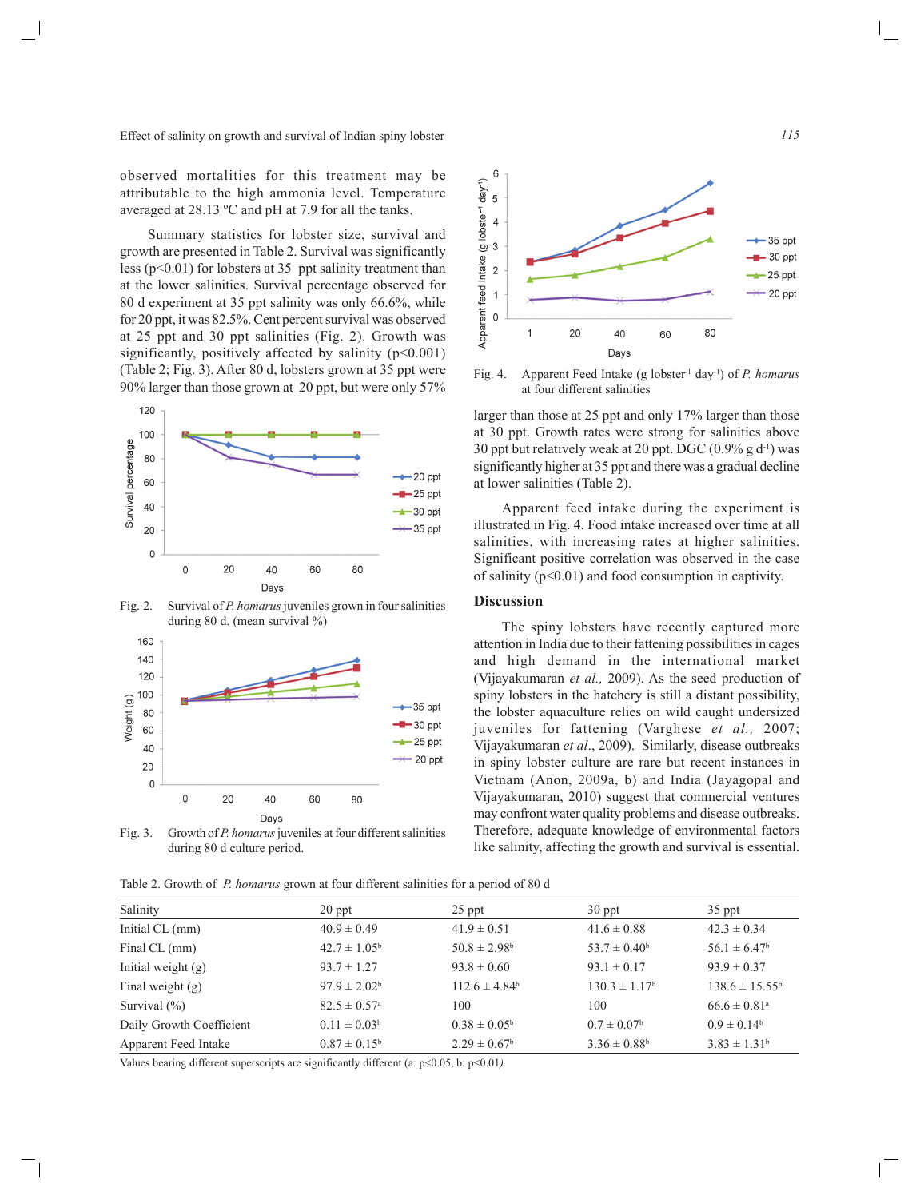Effect of salinity on growth and survival of Indian spiny lobster

observed mortalities for this treatment may be attributable to the high ammonia level. Temperature averaged at 28.13 ºC and pH at 7.9 for all the tanks.

Summary statistics for lobster size, survival and growth are presented in Table 2. Survival was significantly less ( $p<0.01$ ) for lobsters at 35 ppt salinity treatment than at the lower salinities. Survival percentage observed for 80 d experiment at 35 ppt salinity was only 66.6%, while for 20 ppt, it was 82.5%. Cent percent survival was observed at 25 ppt and 30 ppt salinities (Fig. 2). Growth was significantly, positively affected by salinity  $(p<0.001)$ (Table 2; Fig. 3). After 80 d, lobsters grown at 35 ppt were 90% larger than those grown at 20 ppt, but were only 57%



Fig. 2. Survival of *P. homarus* juveniles grown in four salinities during 80 d. (mean survival %)



Fig. 3. Growth of *P. homarus* juveniles at four different salinities during 80 d culture period.

Table 2. Growth of *P. homarus* grown at four different salinities for a period of 80 d



Fig. 4. Apparent Feed Intake (g lobster<sup>-1</sup> day<sup>-1</sup>) of *P. homarus* at four different salinities

larger than those at 25 ppt and only 17% larger than those at 30 ppt. Growth rates were strong for salinities above 30 ppt but relatively weak at 20 ppt. DGC  $(0.9\% \text{ g d}^{-1})$  was significantly higher at 35 ppt and there was a gradual decline at lower salinities (Table 2).

Apparent feed intake during the experiment is illustrated in Fig. 4. Food intake increased over time at all salinities, with increasing rates at higher salinities. Significant positive correlation was observed in the case of salinity  $(p<0.01)$  and food consumption in captivity.

# **Discussion**

The spiny lobsters have recently captured more attention in India due to their fattening possibilities in cages and high demand in the international market (Vijayakumaran *et al.,* 2009). As the seed production of spiny lobsters in the hatchery is still a distant possibility, the lobster aquaculture relies on wild caught undersized juveniles for fattening (Varghese *et al.,* 2007; Vijayakumaran *et al*., 2009). Similarly, disease outbreaks in spiny lobster culture are rare but recent instances in Vietnam (Anon, 2009a, b) and India (Jayagopal and Vijayakumaran, 2010) suggest that commercial ventures may confront water quality problems and disease outbreaks. Therefore, adequate knowledge of environmental factors like salinity, affecting the growth and survival is essential.

| Salinity                 | $20$ ppt                     | 25 ppt                  | 30 ppt                  | $35$ ppt                     |
|--------------------------|------------------------------|-------------------------|-------------------------|------------------------------|
| Initial CL (mm)          | $40.9 \pm 0.49$              | $41.9 \pm 0.51$         | $41.6 \pm 0.88$         | $42.3 \pm 0.34$              |
| Final CL (mm)            | $42.7 \pm 1.05^{\rm b}$      | $50.8 \pm 2.98^{\circ}$ | $53.7 \pm 0.40^b$       | $56.1 \pm 6.47^b$            |
| Initial weight $(g)$     | $93.7 \pm 1.27$              | $93.8 \pm 0.60$         | $93.1 \pm 0.17$         | $93.9 \pm 0.37$              |
| Final weight $(g)$       | $97.9 \pm 2.02^{\circ}$      | $112.6 \pm 4.84^b$      | $130.3 \pm 1.17^b$      | $138.6 \pm 15.55^{\circ}$    |
| Survival $(\% )$         | $82.5 \pm 0.57$ <sup>a</sup> | 100                     | 100                     | $66.6 \pm 0.81$ <sup>a</sup> |
| Daily Growth Coefficient | $0.11 \pm 0.03^b$            | $0.38 \pm 0.05^{\rm b}$ | $0.7 \pm 0.07^{\rm b}$  | $0.9 \pm 0.14^b$             |
| Apparent Feed Intake     | $0.87 \pm 0.15^{\rm b}$      | $2.29 \pm 0.67^{\rm b}$ | $3.36 \pm 0.88^{\rm b}$ | $3.83 \pm 1.31^b$            |

Values bearing different superscripts are significantly different (a: p<0.05, b: p<0.01*).*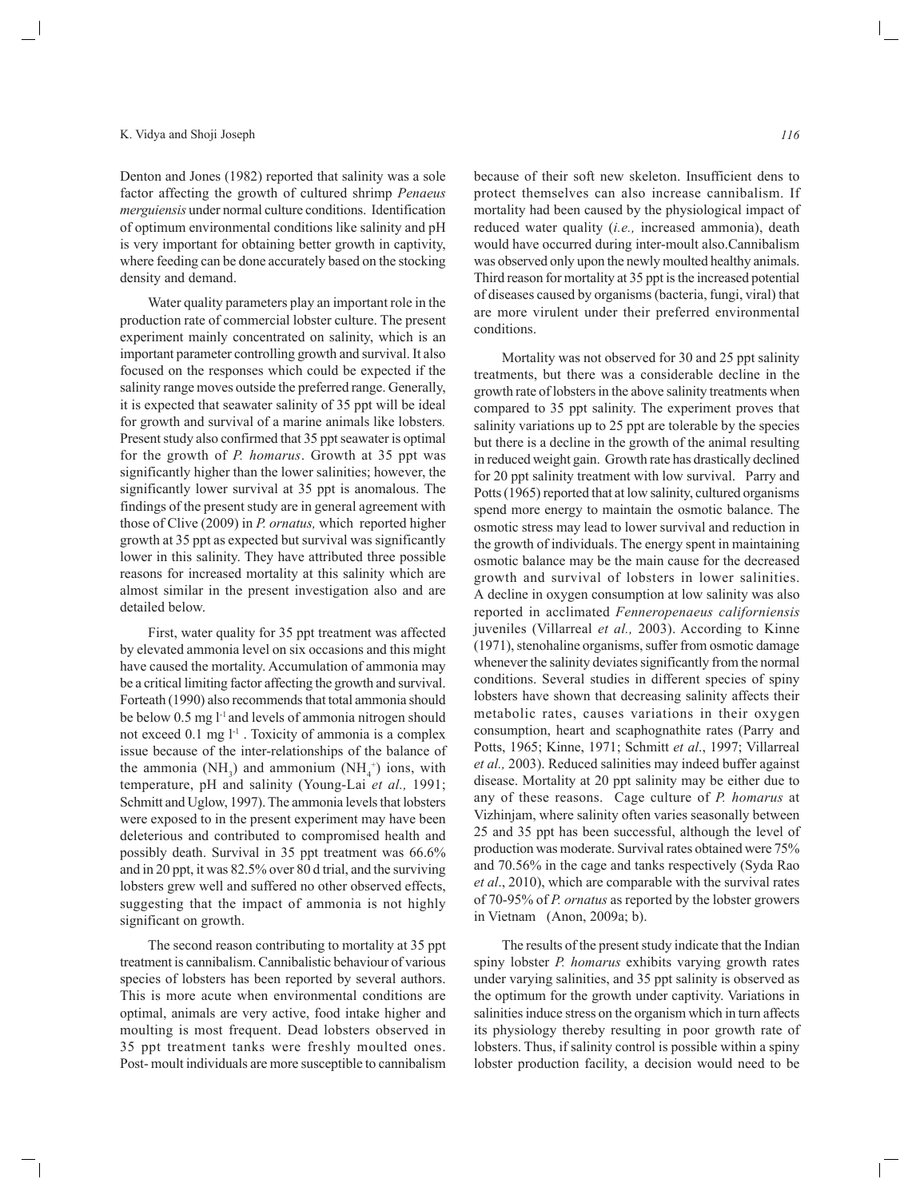Denton and Jones (1982) reported that salinity was a sole factor affecting the growth of cultured shrimp *Penaeus merguiensis* under normal culture conditions. Identification of optimum environmental conditions like salinity and pH is very important for obtaining better growth in captivity, where feeding can be done accurately based on the stocking density and demand.

Water quality parameters play an important role in the production rate of commercial lobster culture. The present experiment mainly concentrated on salinity, which is an important parameter controlling growth and survival. It also focused on the responses which could be expected if the salinity range moves outside the preferred range. Generally, it is expected that seawater salinity of 35 ppt will be ideal for growth and survival of a marine animals like lobsters*.* Present study also confirmed that 35 ppt seawater is optimal for the growth of *P. homarus*. Growth at 35 ppt was significantly higher than the lower salinities; however, the significantly lower survival at 35 ppt is anomalous. The findings of the present study are in general agreement with those of Clive (2009) in *P. ornatus,* which reported higher growth at 35 ppt as expected but survival was significantly lower in this salinity. They have attributed three possible reasons for increased mortality at this salinity which are almost similar in the present investigation also and are detailed below.

First, water quality for 35 ppt treatment was affected by elevated ammonia level on six occasions and this might have caused the mortality. Accumulation of ammonia may be a critical limiting factor affecting the growth and survival. Forteath (1990) also recommends that total ammonia should be below 0.5 mg l<sup>-1</sup> and levels of ammonia nitrogen should not exceed  $0.1$  mg  $l<sup>-1</sup>$ . Toxicity of ammonia is a complex issue because of the inter-relationships of the balance of the ammonia (NH<sub>3</sub>) and ammonium (NH<sub>4</sub><sup>+</sup>) ions, with temperature, pH and salinity (Young-Lai *et al.,* 1991; Schmitt and Uglow, 1997). The ammonia levels that lobsters were exposed to in the present experiment may have been deleterious and contributed to compromised health and possibly death. Survival in 35 ppt treatment was 66.6% and in 20 ppt, it was 82.5% over 80 d trial, and the surviving lobsters grew well and suffered no other observed effects, suggesting that the impact of ammonia is not highly significant on growth.

The second reason contributing to mortality at 35 ppt treatment is cannibalism. Cannibalistic behaviour of various species of lobsters has been reported by several authors. This is more acute when environmental conditions are optimal, animals are very active, food intake higher and moulting is most frequent. Dead lobsters observed in 35 ppt treatment tanks were freshly moulted ones. Post- moult individuals are more susceptible to cannibalism

because of their soft new skeleton. Insufficient dens to protect themselves can also increase cannibalism. If mortality had been caused by the physiological impact of reduced water quality (*i.e.,* increased ammonia), death would have occurred during inter-moult also.Cannibalism was observed only upon the newly moulted healthy animals. Third reason for mortality at 35 ppt is the increased potential of diseases caused by organisms (bacteria, fungi, viral) that are more virulent under their preferred environmental conditions.

Mortality was not observed for 30 and 25 ppt salinity treatments, but there was a considerable decline in the growth rate of lobsters in the above salinity treatments when compared to 35 ppt salinity. The experiment proves that salinity variations up to 25 ppt are tolerable by the species but there is a decline in the growth of the animal resulting in reduced weight gain. Growth rate has drastically declined for 20 ppt salinity treatment with low survival. Parry and Potts (1965) reported that at low salinity, cultured organisms spend more energy to maintain the osmotic balance. The osmotic stress may lead to lower survival and reduction in the growth of individuals. The energy spent in maintaining osmotic balance may be the main cause for the decreased growth and survival of lobsters in lower salinities. A decline in oxygen consumption at low salinity was also reported in acclimated *Fenneropenaeus californiensis* juveniles (Villarreal *et al.,* 2003). According to Kinne (1971), stenohaline organisms, suffer from osmotic damage whenever the salinity deviates significantly from the normal conditions. Several studies in different species of spiny lobsters have shown that decreasing salinity affects their metabolic rates, causes variations in their oxygen consumption, heart and scaphognathite rates (Parry and Potts, 1965; Kinne, 1971; Schmitt *et al*., 1997; Villarreal *et al.,* 2003). Reduced salinities may indeed buffer against disease. Mortality at 20 ppt salinity may be either due to any of these reasons. Cage culture of *P. homarus* at Vizhinjam, where salinity often varies seasonally between 25 and 35 ppt has been successful, although the level of production was moderate. Survival rates obtained were 75% and 70.56% in the cage and tanks respectively (Syda Rao *et al*., 2010), which are comparable with the survival rates of 70-95% of *P. ornatus* as reported by the lobster growers in Vietnam (Anon, 2009a; b).

The results of the present study indicate that the Indian spiny lobster *P. homarus* exhibits varying growth rates under varying salinities, and 35 ppt salinity is observed as the optimum for the growth under captivity. Variations in salinities induce stress on the organism which in turn affects its physiology thereby resulting in poor growth rate of lobsters. Thus, if salinity control is possible within a spiny lobster production facility, a decision would need to be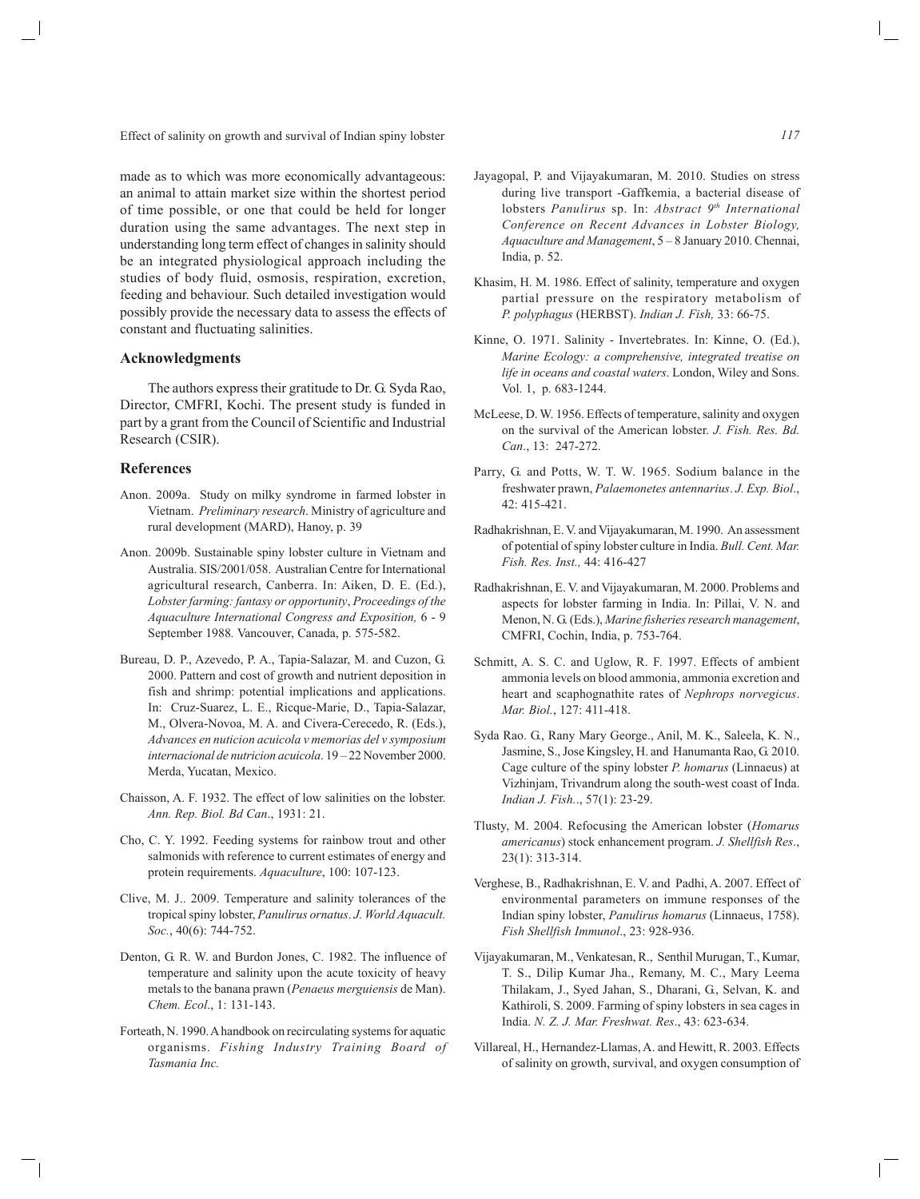Effect of salinity on growth and survival of Indian spiny lobster

made as to which was more economically advantageous: an animal to attain market size within the shortest period of time possible, or one that could be held for longer duration using the same advantages. The next step in understanding long term effect of changes in salinity should be an integrated physiological approach including the studies of body fluid, osmosis, respiration, excretion, feeding and behaviour. Such detailed investigation would possibly provide the necessary data to assess the effects of constant and fluctuating salinities.

# **Acknowledgments**

The authors express their gratitude to Dr. G. Syda Rao, Director, CMFRI, Kochi. The present study is funded in part by a grant from the Council of Scientific and Industrial Research (CSIR).

#### **References**

- Anon. 2009a. Study on milky syndrome in farmed lobster in Vietnam. *Preliminary research*. Ministry of agriculture and rural development (MARD), Hanoy, p. 39
- Anon. 2009b. Sustainable spiny lobster culture in Vietnam and Australia. SIS/2001/058. Australian Centre for International agricultural research, Canberra. In: Aiken, D. E. (Ed.), *Lobster farming: fantasy or opportunity*, *Proceedings of the Aquaculture International Congress and Exposition,* 6 - 9 September 1988*.* Vancouver, Canada, p. 575-582.
- Bureau, D. P., Azevedo, P. A., Tapia-Salazar, M. and Cuzon, G. 2000. Pattern and cost of growth and nutrient deposition in fish and shrimp: potential implications and applications. In: Cruz-Suarez, L. E., Ricque-Marie, D., Tapia-Salazar, M., Olvera-Novoa, M. A. and Civera-Cerecedo, R. (Eds.), *Advances en nuticion acuicola v memorias del v symposium internacional de nutricion acuicola*. 19 – 22 November 2000. Merda, Yucatan, Mexico.
- Chaisson, A. F. 1932. The effect of low salinities on the lobster. *Ann. Rep. Biol. Bd Can*., 1931: 21.
- Cho, C. Y. 1992. Feeding systems for rainbow trout and other salmonids with reference to current estimates of energy and protein requirements. *Aquaculture*, 100: 107-123.
- Clive, M. J.. 2009. Temperature and salinity tolerances of the tropical spiny lobster, *Panulirus ornatus*. *J. World Aquacult. Soc.*, 40(6): 744-752.
- Denton, G. R. W. and Burdon Jones, C. 1982. The influence of temperature and salinity upon the acute toxicity of heavy metals to the banana prawn (*Penaeus merguiensis* de Man). *Chem. Ecol*., 1: 131-143.
- Forteath, N. 1990. A handbook on recirculating systems for aquatic organisms. *Fishing Industry Training Board of Tasmania Inc.*
- Jayagopal, P. and Vijayakumaran, M. 2010. Studies on stress during live transport -Gaffkemia, a bacterial disease of lobsters *Panulirus* sp. In: *Abstract 9th International Conference on Recent Advances in Lobster Biology, Aquaculture and Management*, 5 – 8 January 2010. Chennai, India, p. 52.
- Khasim, H. M. 1986. Effect of salinity, temperature and oxygen partial pressure on the respiratory metabolism of *P. polyphagus* (HERBST). *Indian J. Fish,* 33: 66-75.
- Kinne, O. 1971. Salinity Invertebrates. In: Kinne, O. (Ed.), *Marine Ecology: a comprehensive, integrated treatise on life in oceans and coastal waters*. London, Wiley and Sons. Vol. 1, p. 683-1244.
- McLeese, D. W. 1956. Effects of temperature, salinity and oxygen on the survival of the American lobster. *J. Fish. Res. Bd. Can*., 13: 247-272.
- Parry, G. and Potts, W. T. W. 1965. Sodium balance in the freshwater prawn, *Palaemonetes antennarius*. *J. Exp. Biol*., 42: 415-421.
- Radhakrishnan, E. V. and Vijayakumaran, M. 1990. An assessment of potential of spiny lobster culture in India. *Bull. Cent. Mar. Fish. Res. Inst.,* 44: 416-427
- Radhakrishnan, E. V. and Vijayakumaran, M. 2000. Problems and aspects for lobster farming in India. In: Pillai, V. N. and Menon, N. G. (Eds.), *Marine fisheries research management*, CMFRI, Cochin, India, p. 753-764.
- Schmitt, A. S. C. and Uglow, R. F. 1997. Effects of ambient ammonia levels on blood ammonia, ammonia excretion and heart and scaphognathite rates of *Nephrops norvegicus*. *Mar. Biol.*, 127: 411-418.
- Syda Rao. G., Rany Mary George., Anil, M. K., Saleela, K. N., Jasmine, S., Jose Kingsley, H. and Hanumanta Rao, G. 2010. Cage culture of the spiny lobster *P. homarus* (Linnaeus) at Vizhinjam, Trivandrum along the south-west coast of Inda. *Indian J. Fish.*., 57(1): 23-29.
- Tlusty, M. 2004. Refocusing the American lobster (*Homarus americanus*) stock enhancement program. *J. Shellfish Res*., 23(1): 313-314.
- Verghese, B., Radhakrishnan, E. V. and Padhi, A. 2007. Effect of environmental parameters on immune responses of the Indian spiny lobster, *Panulirus homarus* (Linnaeus, 1758). *Fish Shellfish Immunol*., 23: 928-936.
- Vijayakumaran, M., Venkatesan, R., Senthil Murugan, T., Kumar, T. S., Dilip Kumar Jha., Remany, M. C., Mary Leema Thilakam, J., Syed Jahan, S., Dharani, G., Selvan, K. and Kathiroli, S. 2009. Farming of spiny lobsters in sea cages in India. *N. Z. J. Mar. Freshwat. Res*., 43: 623-634.
- Villareal, H., Hernandez-Llamas, A. and Hewitt, R. 2003. Effects of salinity on growth, survival, and oxygen consumption of